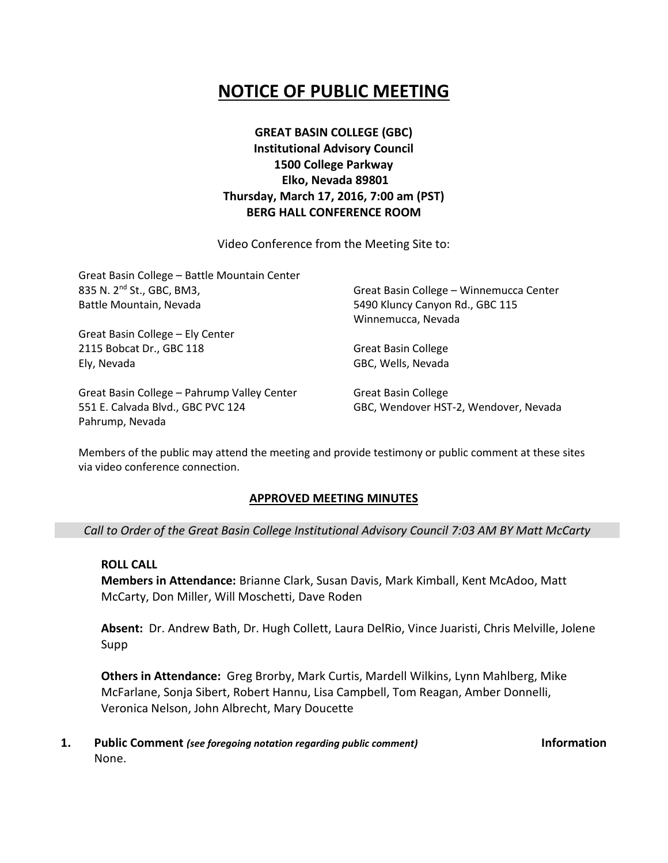# **NOTICE OF PUBLIC MEETING**

**GREAT BASIN COLLEGE (GBC) Institutional Advisory Council 1500 College Parkway Elko, Nevada 89801 Thursday, March 17, 2016, 7:00 am (PST) BERG HALL CONFERENCE ROOM**

Video Conference from the Meeting Site to:

| Great Basin College - Battle Mountain Center<br>835 N. 2 <sup>nd</sup> St., GBC, BM3,<br>Battle Mountain, Nevada | Great Basin College - Winnemucca Center<br>5490 Kluncy Canyon Rd., GBC 115 |                                  |
|------------------------------------------------------------------------------------------------------------------|----------------------------------------------------------------------------|----------------------------------|
|                                                                                                                  |                                                                            | Winnemucca, Nevada               |
|                                                                                                                  |                                                                            | Great Basin College - Ely Center |
|                                                                                                                  | 2115 Bobcat Dr., GBC 118                                                   | <b>Great Basin College</b>       |
| Ely, Nevada                                                                                                      | GBC, Wells, Nevada                                                         |                                  |
| Great Basin College - Pahrump Valley Center                                                                      | <b>Great Basin College</b>                                                 |                                  |
| 551 E. Calvada Blvd., GBC PVC 124                                                                                | GBC, Wendover HST-2, Wendover, Nevada                                      |                                  |

Members of the public may attend the meeting and provide testimony or public comment at these sites via video conference connection.

#### **APPROVED MEETING MINUTES**

*Call to Order of the Great Basin College Institutional Advisory Council 7:03 AM BY Matt McCarty*

### **ROLL CALL**

Pahrump, Nevada

**Members in Attendance:** Brianne Clark, Susan Davis, Mark Kimball, Kent McAdoo, Matt McCarty, Don Miller, Will Moschetti, Dave Roden

**Absent:** Dr. Andrew Bath, Dr. Hugh Collett, Laura DelRio, Vince Juaristi, Chris Melville, Jolene Supp

**Others in Attendance:** Greg Brorby, Mark Curtis, Mardell Wilkins, Lynn Mahlberg, Mike McFarlane, Sonja Sibert, Robert Hannu, Lisa Campbell, Tom Reagan, Amber Donnelli, Veronica Nelson, John Albrecht, Mary Doucette

**1. Public Comment** *(see foregoing notation regarding public comment)* **Information** None.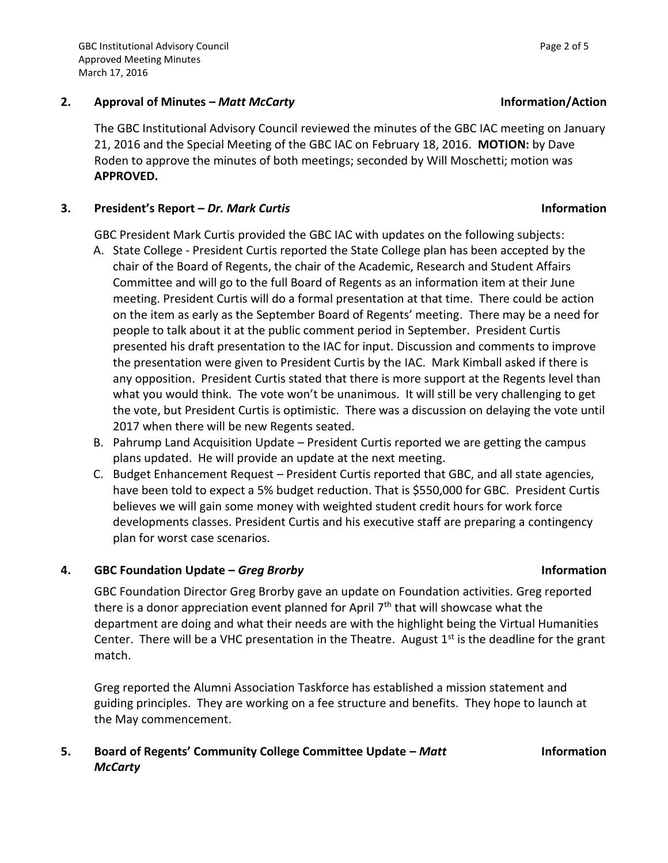### **2. Approval of Minutes –** *Matt McCarty* **Information/Action**

The GBC Institutional Advisory Council reviewed the minutes of the GBC IAC meeting on January 21, 2016 and the Special Meeting of the GBC IAC on February 18, 2016. **MOTION:** by Dave Roden to approve the minutes of both meetings; seconded by Will Moschetti; motion was **APPROVED.** 

# **3. President's Report –** *Dr. Mark Curtis* **Information**

GBC President Mark Curtis provided the GBC IAC with updates on the following subjects:

- A. State College President Curtis reported the State College plan has been accepted by the chair of the Board of Regents, the chair of the Academic, Research and Student Affairs Committee and will go to the full Board of Regents as an information item at their June meeting. President Curtis will do a formal presentation at that time. There could be action on the item as early as the September Board of Regents' meeting. There may be a need for people to talk about it at the public comment period in September. President Curtis presented his draft presentation to the IAC for input. Discussion and comments to improve the presentation were given to President Curtis by the IAC. Mark Kimball asked if there is any opposition. President Curtis stated that there is more support at the Regents level than what you would think. The vote won't be unanimous. It will still be very challenging to get the vote, but President Curtis is optimistic. There was a discussion on delaying the vote until 2017 when there will be new Regents seated.
- B. Pahrump Land Acquisition Update President Curtis reported we are getting the campus plans updated. He will provide an update at the next meeting.
- C. Budget Enhancement Request President Curtis reported that GBC, and all state agencies, have been told to expect a 5% budget reduction. That is \$550,000 for GBC. President Curtis believes we will gain some money with weighted student credit hours for work force developments classes. President Curtis and his executive staff are preparing a contingency plan for worst case scenarios.

# **4. GBC Foundation Update –** *Greg Brorby* **Information**

# GBC Foundation Director Greg Brorby gave an update on Foundation activities. Greg reported there is a donor appreciation event planned for April  $7<sup>th</sup>$  that will showcase what the department are doing and what their needs are with the highlight being the Virtual Humanities Center. There will be a VHC presentation in the Theatre. August  $1<sup>st</sup>$  is the deadline for the grant match.

Greg reported the Alumni Association Taskforce has established a mission statement and guiding principles. They are working on a fee structure and benefits. They hope to launch at the May commencement.

# **5. Board of Regents' Community College Committee Update –** *Matt McCarty*

#### **Information**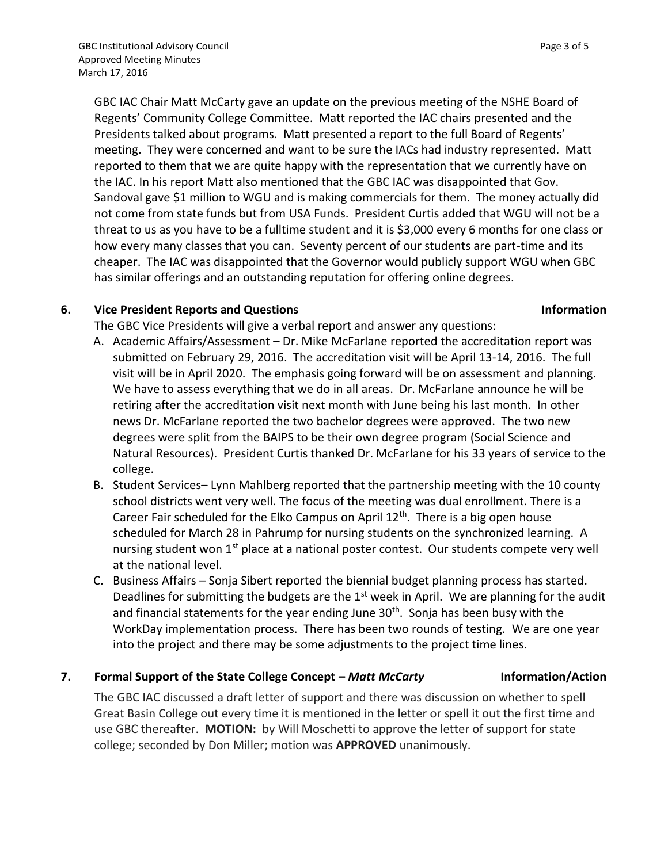GBC IAC Chair Matt McCarty gave an update on the previous meeting of the NSHE Board of Regents' Community College Committee. Matt reported the IAC chairs presented and the Presidents talked about programs. Matt presented a report to the full Board of Regents' meeting. They were concerned and want to be sure the IACs had industry represented. Matt reported to them that we are quite happy with the representation that we currently have on the IAC. In his report Matt also mentioned that the GBC IAC was disappointed that Gov. Sandoval gave \$1 million to WGU and is making commercials for them. The money actually did not come from state funds but from USA Funds. President Curtis added that WGU will not be a threat to us as you have to be a fulltime student and it is \$3,000 every 6 months for one class or how every many classes that you can. Seventy percent of our students are part-time and its cheaper. The IAC was disappointed that the Governor would publicly support WGU when GBC has similar offerings and an outstanding reputation for offering online degrees.

### **6. Vice President Reports and Questions Information**

The GBC Vice Presidents will give a verbal report and answer any questions:

- A. Academic Affairs/Assessment Dr. Mike McFarlane reported the accreditation report was submitted on February 29, 2016. The accreditation visit will be April 13-14, 2016. The full visit will be in April 2020. The emphasis going forward will be on assessment and planning. We have to assess everything that we do in all areas. Dr. McFarlane announce he will be retiring after the accreditation visit next month with June being his last month. In other news Dr. McFarlane reported the two bachelor degrees were approved. The two new degrees were split from the BAIPS to be their own degree program (Social Science and Natural Resources). President Curtis thanked Dr. McFarlane for his 33 years of service to the college.
- B. Student Services– Lynn Mahlberg reported that the partnership meeting with the 10 county school districts went very well. The focus of the meeting was dual enrollment. There is a Career Fair scheduled for the Elko Campus on April  $12<sup>th</sup>$ . There is a big open house scheduled for March 28 in Pahrump for nursing students on the synchronized learning. A nursing student won 1<sup>st</sup> place at a national poster contest. Our students compete very well at the national level.
- C. Business Affairs Sonja Sibert reported the biennial budget planning process has started. Deadlines for submitting the budgets are the  $1<sup>st</sup>$  week in April. We are planning for the audit and financial statements for the year ending June 30<sup>th</sup>. Sonja has been busy with the WorkDay implementation process. There has been two rounds of testing. We are one year into the project and there may be some adjustments to the project time lines.

# **7. Formal Support of the State College Concept – Matt McCarty <b>Information/Action**

The GBC IAC discussed a draft letter of support and there was discussion on whether to spell Great Basin College out every time it is mentioned in the letter or spell it out the first time and use GBC thereafter. **MOTION:** by Will Moschetti to approve the letter of support for state college; seconded by Don Miller; motion was **APPROVED** unanimously.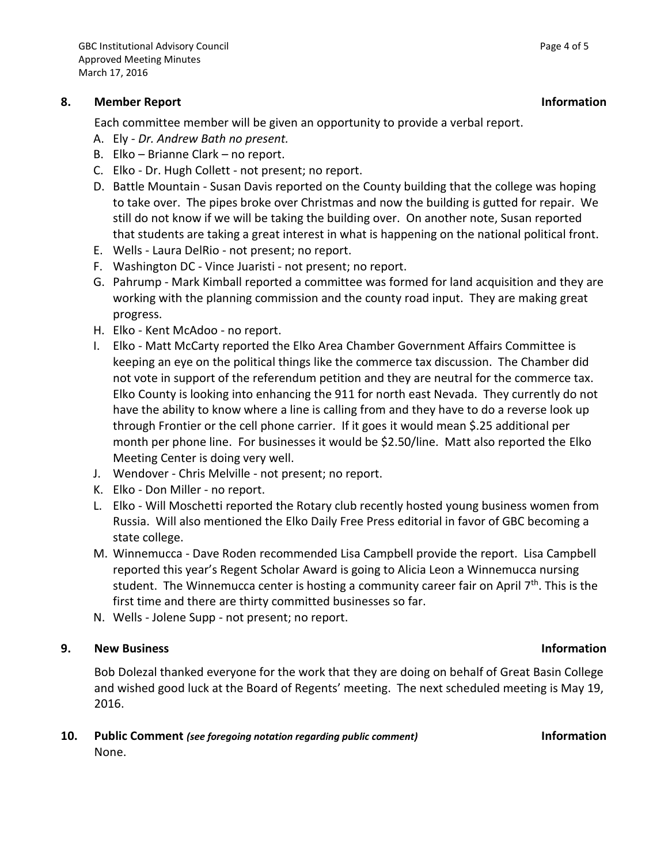### **8. Member Report Information**

Each committee member will be given an opportunity to provide a verbal report.

- A. Ely *Dr. Andrew Bath no present.*
- B. Elko Brianne Clark no report.
- C. Elko Dr. Hugh Collett not present; no report.
- D. Battle Mountain Susan Davis reported on the County building that the college was hoping to take over. The pipes broke over Christmas and now the building is gutted for repair. We still do not know if we will be taking the building over. On another note, Susan reported that students are taking a great interest in what is happening on the national political front.
- E. Wells Laura DelRio not present; no report.
- F. Washington DC Vince Juaristi not present; no report.
- G. Pahrump Mark Kimball reported a committee was formed for land acquisition and they are working with the planning commission and the county road input. They are making great progress.
- H. Elko Kent McAdoo no report.
- I. Elko Matt McCarty reported the Elko Area Chamber Government Affairs Committee is keeping an eye on the political things like the commerce tax discussion. The Chamber did not vote in support of the referendum petition and they are neutral for the commerce tax. Elko County is looking into enhancing the 911 for north east Nevada. They currently do not have the ability to know where a line is calling from and they have to do a reverse look up through Frontier or the cell phone carrier. If it goes it would mean \$.25 additional per month per phone line. For businesses it would be \$2.50/line. Matt also reported the Elko Meeting Center is doing very well.
- J. Wendover Chris Melville not present; no report.
- K. Elko Don Miller no report.
- L. Elko Will Moschetti reported the Rotary club recently hosted young business women from Russia. Will also mentioned the Elko Daily Free Press editorial in favor of GBC becoming a state college.
- M. Winnemucca Dave Roden recommended Lisa Campbell provide the report. Lisa Campbell reported this year's Regent Scholar Award is going to Alicia Leon a Winnemucca nursing student. The Winnemucca center is hosting a community career fair on April  $7<sup>th</sup>$ . This is the first time and there are thirty committed businesses so far.
- N. Wells Jolene Supp not present; no report.

### **9. New Business Information**

Bob Dolezal thanked everyone for the work that they are doing on behalf of Great Basin College and wished good luck at the Board of Regents' meeting. The next scheduled meeting is May 19, 2016.

**10. Public Comment** *(see foregoing notation regarding public comment)* **Information** None.